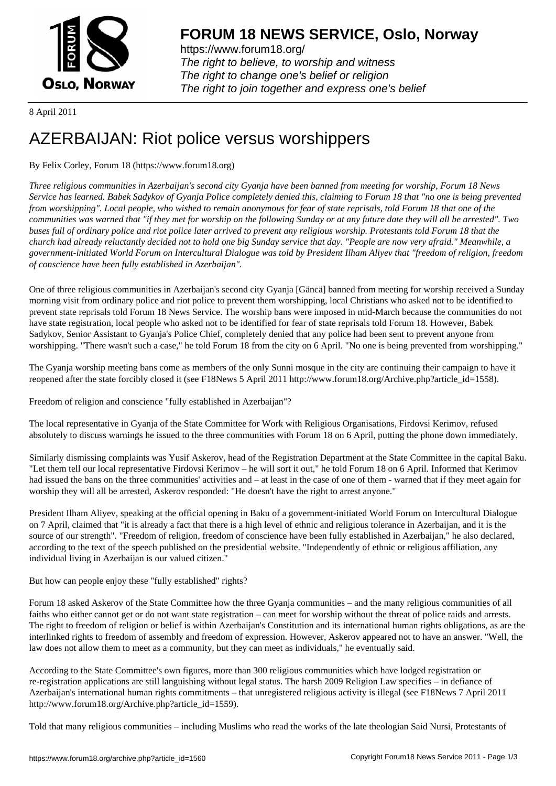

https://www.forum18.org/ The right to believe, to worship and witness The right to change one's belief or religion [The right to join together a](https://www.forum18.org/)nd express one's belief

8 April 2011

# [AZERBAIJAN: R](https://www.forum18.org)iot police versus worshippers

## By Felix Corley, Forum 18 (https://www.forum18.org)

*Three religious communities in Azerbaijan's second city Gyanja have been banned from meeting for worship, Forum 18 News Service has learned. Babek Sadykov of Gyanja Police completely denied this, claiming to Forum 18 that "no one is being prevented from worshipping". Local people, who wished to remain anonymous for fear of state reprisals, told Forum 18 that one of the communities was warned that "if they met for worship on the following Sunday or at any future date they will all be arrested". Two buses full of ordinary police and riot police later arrived to prevent any religious worship. Protestants told Forum 18 that the church had already reluctantly decided not to hold one big Sunday service that day. "People are now very afraid." Meanwhile, a government-initiated World Forum on Intercultural Dialogue was told by President Ilham Aliyev that "freedom of religion, freedom of conscience have been fully established in Azerbaijan".*

One of three religious communities in Azerbaijan's second city Gyanja [Gäncä] banned from meeting for worship received a Sunday morning visit from ordinary police and riot police to prevent them worshipping, local Christians who asked not to be identified to prevent state reprisals told Forum 18 News Service. The worship bans were imposed in mid-March because the communities do not have state registration, local people who asked not to be identified for fear of state reprisals told Forum 18. However, Babek Sadykov, Senior Assistant to Gyanja's Police Chief, completely denied that any police had been sent to prevent anyone from worshipping. "There wasn't such a case," he told Forum 18 from the city on 6 April. "No one is being prevented from worshipping."

The Gyanja worship meeting bans come as members of the only Sunni mosque in the city are continuing their campaign to have it reopened after the state forcibly closed it (see F18News 5 April 2011 http://www.forum18.org/Archive.php?article\_id=1558).

Freedom of religion and conscience "fully established in Azerbaijan"?

The local representative in Gyanja of the State Committee for Work with Religious Organisations, Firdovsi Kerimov, refused absolutely to discuss warnings he issued to the three communities with Forum 18 on 6 April, putting the phone down immediately.

Similarly dismissing complaints was Yusif Askerov, head of the Registration Department at the State Committee in the capital Baku. "Let them tell our local representative Firdovsi Kerimov – he will sort it out," he told Forum 18 on 6 April. Informed that Kerimov had issued the bans on the three communities' activities and – at least in the case of one of them - warned that if they meet again for worship they will all be arrested, Askerov responded: "He doesn't have the right to arrest anyone."

President Ilham Aliyev, speaking at the official opening in Baku of a government-initiated World Forum on Intercultural Dialogue on 7 April, claimed that "it is already a fact that there is a high level of ethnic and religious tolerance in Azerbaijan, and it is the source of our strength". "Freedom of religion, freedom of conscience have been fully established in Azerbaijan," he also declared, according to the text of the speech published on the presidential website. "Independently of ethnic or religious affiliation, any individual living in Azerbaijan is our valued citizen."

But how can people enjoy these "fully established" rights?

Forum 18 asked Askerov of the State Committee how the three Gyanja communities – and the many religious communities of all faiths who either cannot get or do not want state registration – can meet for worship without the threat of police raids and arrests. The right to freedom of religion or belief is within Azerbaijan's Constitution and its international human rights obligations, as are the interlinked rights to freedom of assembly and freedom of expression. However, Askerov appeared not to have an answer. "Well, the law does not allow them to meet as a community, but they can meet as individuals," he eventually said.

According to the State Committee's own figures, more than 300 religious communities which have lodged registration or re-registration applications are still languishing without legal status. The harsh 2009 Religion Law specifies – in defiance of Azerbaijan's international human rights commitments – that unregistered religious activity is illegal (see F18News 7 April 2011 http://www.forum18.org/Archive.php?article\_id=1559).

Told that many religious communities – including Muslims who read the works of the late theologian Said Nursi, Protestants of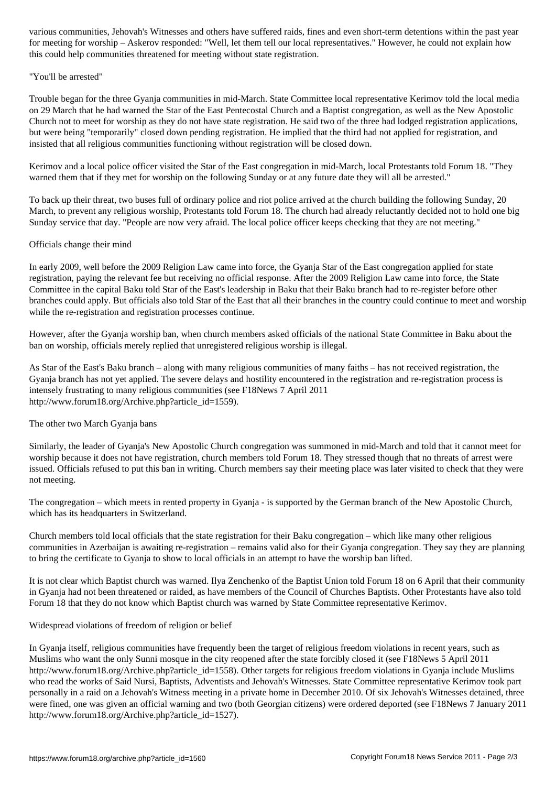for meeting for worship – Askerov responded: "Well, let them tell our local representatives." However, he could not explain how this could help communities threatened for meeting without state registration.

#### "You'll be arrested"

Trouble began for the three Gyanja communities in mid-March. State Committee local representative Kerimov told the local media on 29 March that he had warned the Star of the East Pentecostal Church and a Baptist congregation, as well as the New Apostolic Church not to meet for worship as they do not have state registration. He said two of the three had lodged registration applications, but were being "temporarily" closed down pending registration. He implied that the third had not applied for registration, and insisted that all religious communities functioning without registration will be closed down.

Kerimov and a local police officer visited the Star of the East congregation in mid-March, local Protestants told Forum 18. "They warned them that if they met for worship on the following Sunday or at any future date they will all be arrested."

To back up their threat, two buses full of ordinary police and riot police arrived at the church building the following Sunday, 20 March, to prevent any religious worship, Protestants told Forum 18. The church had already reluctantly decided not to hold one big Sunday service that day. "People are now very afraid. The local police officer keeps checking that they are not meeting."

### Officials change their mind

In early 2009, well before the 2009 Religion Law came into force, the Gyanja Star of the East congregation applied for state registration, paying the relevant fee but receiving no official response. After the 2009 Religion Law came into force, the State Committee in the capital Baku told Star of the East's leadership in Baku that their Baku branch had to re-register before other branches could apply. But officials also told Star of the East that all their branches in the country could continue to meet and worship while the re-registration and registration processes continue.

However, after the Gyanja worship ban, when church members asked officials of the national State Committee in Baku about the ban on worship, officials merely replied that unregistered religious worship is illegal.

As Star of the East's Baku branch – along with many religious communities of many faiths – has not received registration, the Gyanja branch has not yet applied. The severe delays and hostility encountered in the registration and re-registration process is intensely frustrating to many religious communities (see F18News 7 April 2011 http://www.forum18.org/Archive.php?article\_id=1559).

### The other two March Gyanja bans

Similarly, the leader of Gyanja's New Apostolic Church congregation was summoned in mid-March and told that it cannot meet for worship because it does not have registration, church members told Forum 18. They stressed though that no threats of arrest were issued. Officials refused to put this ban in writing. Church members say their meeting place was later visited to check that they were not meeting.

The congregation – which meets in rented property in Gyanja - is supported by the German branch of the New Apostolic Church, which has its headquarters in Switzerland.

Church members told local officials that the state registration for their Baku congregation – which like many other religious communities in Azerbaijan is awaiting re-registration – remains valid also for their Gyanja congregation. They say they are planning to bring the certificate to Gyanja to show to local officials in an attempt to have the worship ban lifted.

It is not clear which Baptist church was warned. Ilya Zenchenko of the Baptist Union told Forum 18 on 6 April that their community in Gyanja had not been threatened or raided, as have members of the Council of Churches Baptists. Other Protestants have also told Forum 18 that they do not know which Baptist church was warned by State Committee representative Kerimov.

### Widespread violations of freedom of religion or belief

In Gyanja itself, religious communities have frequently been the target of religious freedom violations in recent years, such as Muslims who want the only Sunni mosque in the city reopened after the state forcibly closed it (see F18News 5 April 2011 http://www.forum18.org/Archive.php?article\_id=1558). Other targets for religious freedom violations in Gyanja include Muslims who read the works of Said Nursi, Baptists, Adventists and Jehovah's Witnesses. State Committee representative Kerimov took part personally in a raid on a Jehovah's Witness meeting in a private home in December 2010. Of six Jehovah's Witnesses detained, three were fined, one was given an official warning and two (both Georgian citizens) were ordered deported (see F18News 7 January 2011 http://www.forum18.org/Archive.php?article\_id=1527).